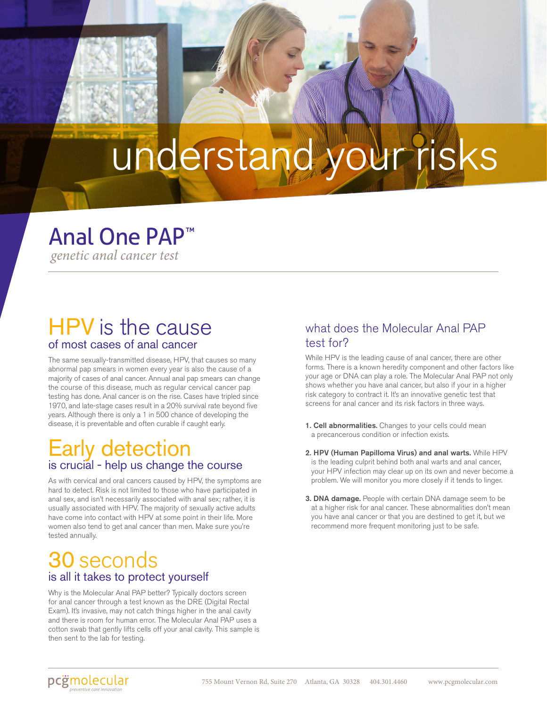# understand your risks

### Anal One PAP ™

*genetic anal cancer test*

### HPV is the cause of most cases of anal cancer

The same sexually-transmitted disease, HPV, that causes so many abnormal pap smears in women every year is also the cause of a majority of cases of anal cancer. Annual anal pap smears can change the course of this disease, much as regular cervical cancer pap testing has done. Anal cancer is on the rise. Cases have tripled since 1970, and late-stage cases result in a 20% survival rate beyond five years. Although there is only a 1 in 500 chance of developing the disease, it is preventable and often curable if caught early.

### Early detection is crucial - help us change the course

As with cervical and oral cancers caused by HPV, the symptoms are hard to detect. Risk is not limited to those who have participated in anal sex, and isn't necessarily associated with anal sex; rather, it is usually associated with HPV. The majority of sexually active adults have come into contact with HPV at some point in their life. More women also tend to get anal cancer than men. Make sure you're tested annually.

### 30 seconds is all it takes to protect yourself

Why is the Molecular Anal PAP better? Typically doctors screen for anal cancer through a test known as the DRE (Digital Rectal Exam). It's invasive, may not catch things higher in the anal cavity and there is room for human error. The Molecular Anal PAP uses a cotton swab that gently lifts cells off your anal cavity. This sample is then sent to the lab for testing.

#### what does the Molecular Anal PAP test for?

While HPV is the leading cause of anal cancer, there are other forms. There is a known heredity component and other factors like your age or DNA can play a role. The Molecular Anal PAP not only shows whether you have anal cancer, but also if your in a higher risk category to contract it. It's an innovative genetic test that screens for anal cancer and its risk factors in three ways.

- 1. Cell abnormalities. Changes to your cells could mean a precancerous condition or infection exists.
- 2. HPV (Human Papilloma Virus) and anal warts. While HPV is the leading culprit behind both anal warts and anal cancer, your HPV infection may clear up on its own and never become a problem. We will monitor you more closely if it tends to linger.
- 3. DNA damage. People with certain DNA damage seem to be at a higher risk for anal cancer. These abnormalities don't mean you have anal cancer or that you are destined to get it, but we recommend more frequent monitoring just to be safe.